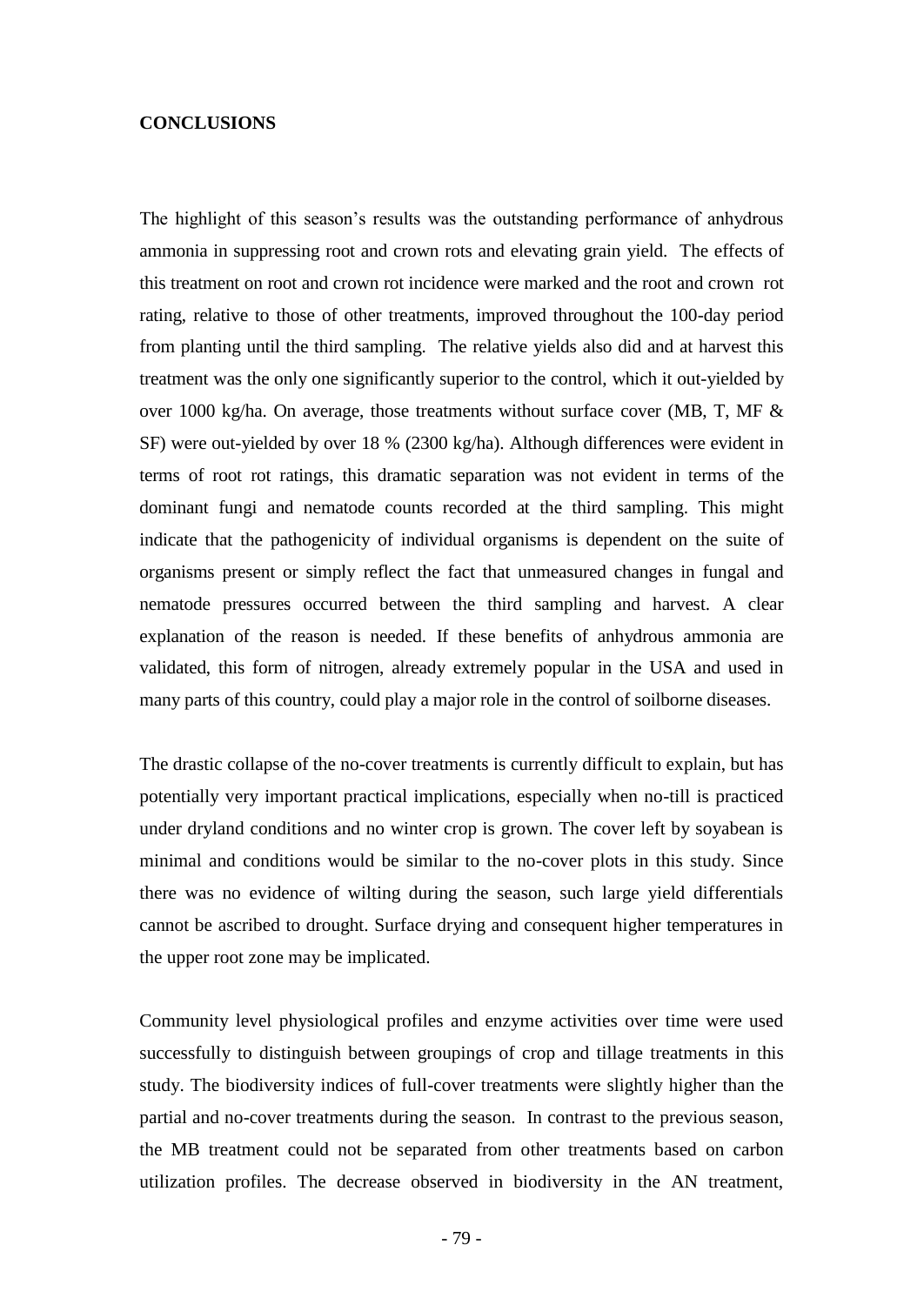## **CONCLUSIONS**

The highlight of this season's results was the outstanding performance of anhydrous ammonia in suppressing root and crown rots and elevating grain yield. The effects of this treatment on root and crown rot incidence were marked and the root and crown rot rating, relative to those of other treatments, improved throughout the 100-day period from planting until the third sampling. The relative yields also did and at harvest this treatment was the only one significantly superior to the control, which it out-yielded by over 1000 kg/ha. On average, those treatments without surface cover (MB, T, MF & SF) were out-yielded by over 18 % (2300 kg/ha). Although differences were evident in terms of root rot ratings, this dramatic separation was not evident in terms of the dominant fungi and nematode counts recorded at the third sampling. This might indicate that the pathogenicity of individual organisms is dependent on the suite of organisms present or simply reflect the fact that unmeasured changes in fungal and nematode pressures occurred between the third sampling and harvest. A clear explanation of the reason is needed. If these benefits of anhydrous ammonia are validated, this form of nitrogen, already extremely popular in the USA and used in many parts of this country, could play a major role in the control of soilborne diseases.

The drastic collapse of the no-cover treatments is currently difficult to explain, but has potentially very important practical implications, especially when no-till is practiced under dryland conditions and no winter crop is grown. The cover left by soyabean is minimal and conditions would be similar to the no-cover plots in this study. Since there was no evidence of wilting during the season, such large yield differentials cannot be ascribed to drought. Surface drying and consequent higher temperatures in the upper root zone may be implicated.

Community level physiological profiles and enzyme activities over time were used successfully to distinguish between groupings of crop and tillage treatments in this study. The biodiversity indices of full-cover treatments were slightly higher than the partial and no-cover treatments during the season. In contrast to the previous season, the MB treatment could not be separated from other treatments based on carbon utilization profiles. The decrease observed in biodiversity in the AN treatment,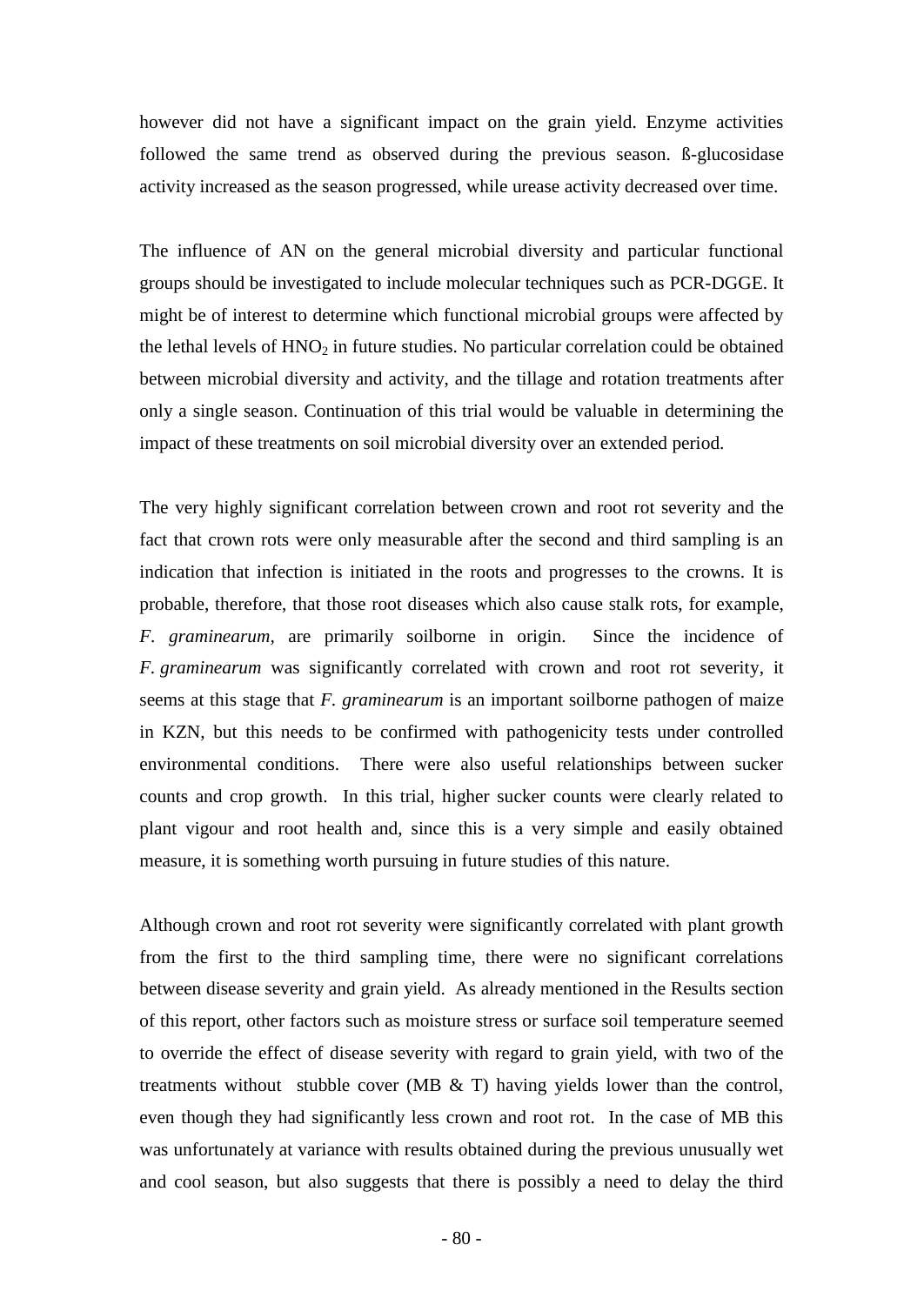however did not have a significant impact on the grain yield. Enzyme activities followed the same trend as observed during the previous season. ß-glucosidase activity increased as the season progressed, while urease activity decreased over time.

The influence of AN on the general microbial diversity and particular functional groups should be investigated to include molecular techniques such as PCR-DGGE. It might be of interest to determine which functional microbial groups were affected by the lethal levels of  $HNO<sub>2</sub>$  in future studies. No particular correlation could be obtained between microbial diversity and activity, and the tillage and rotation treatments after only a single season. Continuation of this trial would be valuable in determining the impact of these treatments on soil microbial diversity over an extended period.

The very highly significant correlation between crown and root rot severity and the fact that crown rots were only measurable after the second and third sampling is an indication that infection is initiated in the roots and progresses to the crowns. It is probable, therefore, that those root diseases which also cause stalk rots, for example, *F. graminearum,* are primarily soilborne in origin. Since the incidence of *F. graminearum* was significantly correlated with crown and root rot severity, it seems at this stage that *F. graminearum* is an important soilborne pathogen of maize in KZN, but this needs to be confirmed with pathogenicity tests under controlled environmental conditions. There were also useful relationships between sucker counts and crop growth. In this trial, higher sucker counts were clearly related to plant vigour and root health and, since this is a very simple and easily obtained measure, it is something worth pursuing in future studies of this nature.

Although crown and root rot severity were significantly correlated with plant growth from the first to the third sampling time, there were no significant correlations between disease severity and grain yield. As already mentioned in the Results section of this report, other factors such as moisture stress or surface soil temperature seemed to override the effect of disease severity with regard to grain yield, with two of the treatments without stubble cover (MB & T) having yields lower than the control, even though they had significantly less crown and root rot. In the case of MB this was unfortunately at variance with results obtained during the previous unusually wet and cool season, but also suggests that there is possibly a need to delay the third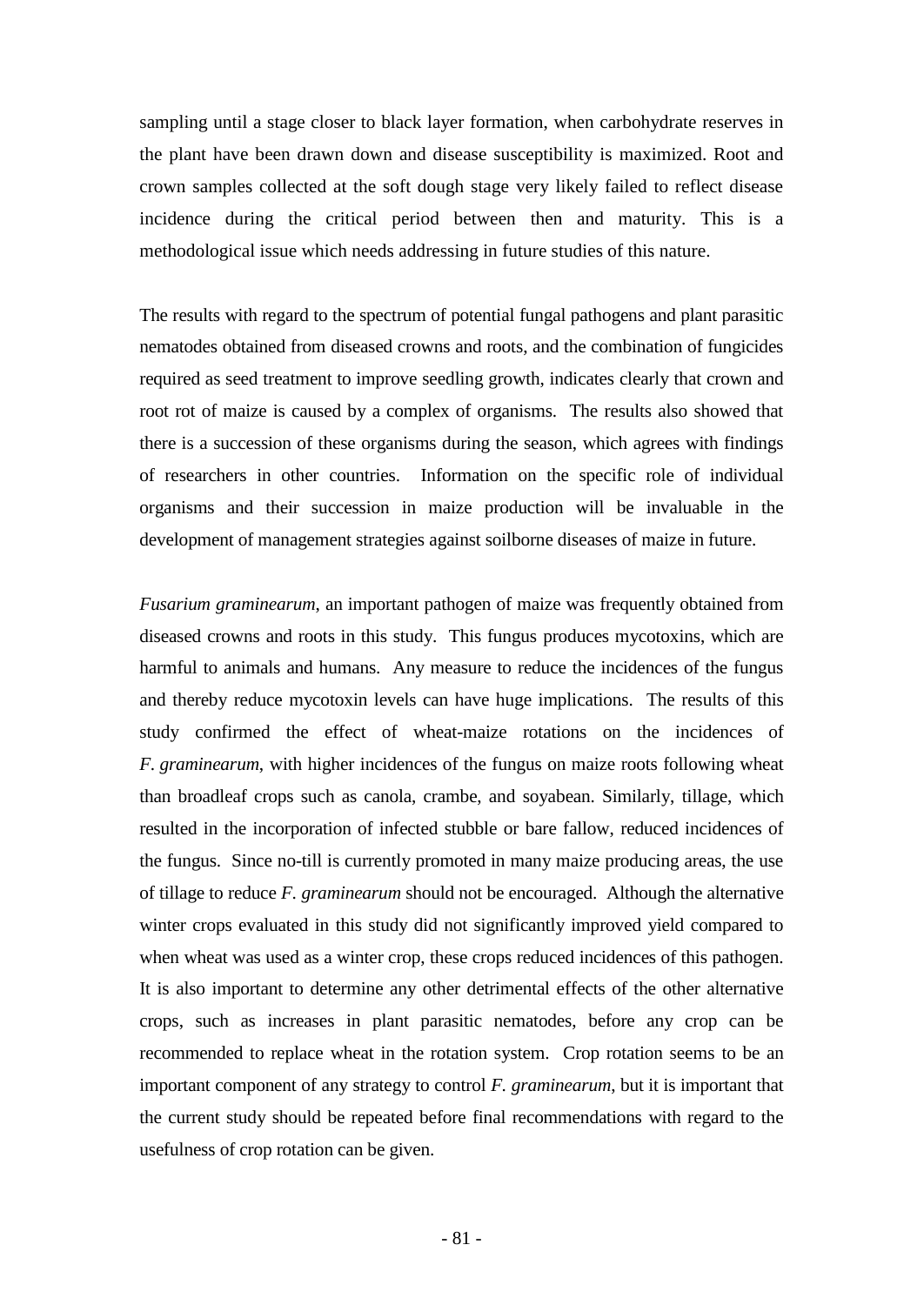sampling until a stage closer to black layer formation, when carbohydrate reserves in the plant have been drawn down and disease susceptibility is maximized. Root and crown samples collected at the soft dough stage very likely failed to reflect disease incidence during the critical period between then and maturity. This is a methodological issue which needs addressing in future studies of this nature.

The results with regard to the spectrum of potential fungal pathogens and plant parasitic nematodes obtained from diseased crowns and roots, and the combination of fungicides required as seed treatment to improve seedling growth, indicates clearly that crown and root rot of maize is caused by a complex of organisms. The results also showed that there is a succession of these organisms during the season, which agrees with findings of researchers in other countries. Information on the specific role of individual organisms and their succession in maize production will be invaluable in the development of management strategies against soilborne diseases of maize in future.

*Fusarium graminearum*, an important pathogen of maize was frequently obtained from diseased crowns and roots in this study. This fungus produces mycotoxins, which are harmful to animals and humans. Any measure to reduce the incidences of the fungus and thereby reduce mycotoxin levels can have huge implications. The results of this study confirmed the effect of wheat-maize rotations on the incidences of *F. graminearum*, with higher incidences of the fungus on maize roots following wheat than broadleaf crops such as canola, crambe, and soyabean. Similarly, tillage, which resulted in the incorporation of infected stubble or bare fallow, reduced incidences of the fungus. Since no-till is currently promoted in many maize producing areas, the use of tillage to reduce *F. graminearum* should not be encouraged. Although the alternative winter crops evaluated in this study did not significantly improved yield compared to when wheat was used as a winter crop, these crops reduced incidences of this pathogen. It is also important to determine any other detrimental effects of the other alternative crops, such as increases in plant parasitic nematodes, before any crop can be recommended to replace wheat in the rotation system. Crop rotation seems to be an important component of any strategy to control *F. graminearum*, but it is important that the current study should be repeated before final recommendations with regard to the usefulness of crop rotation can be given.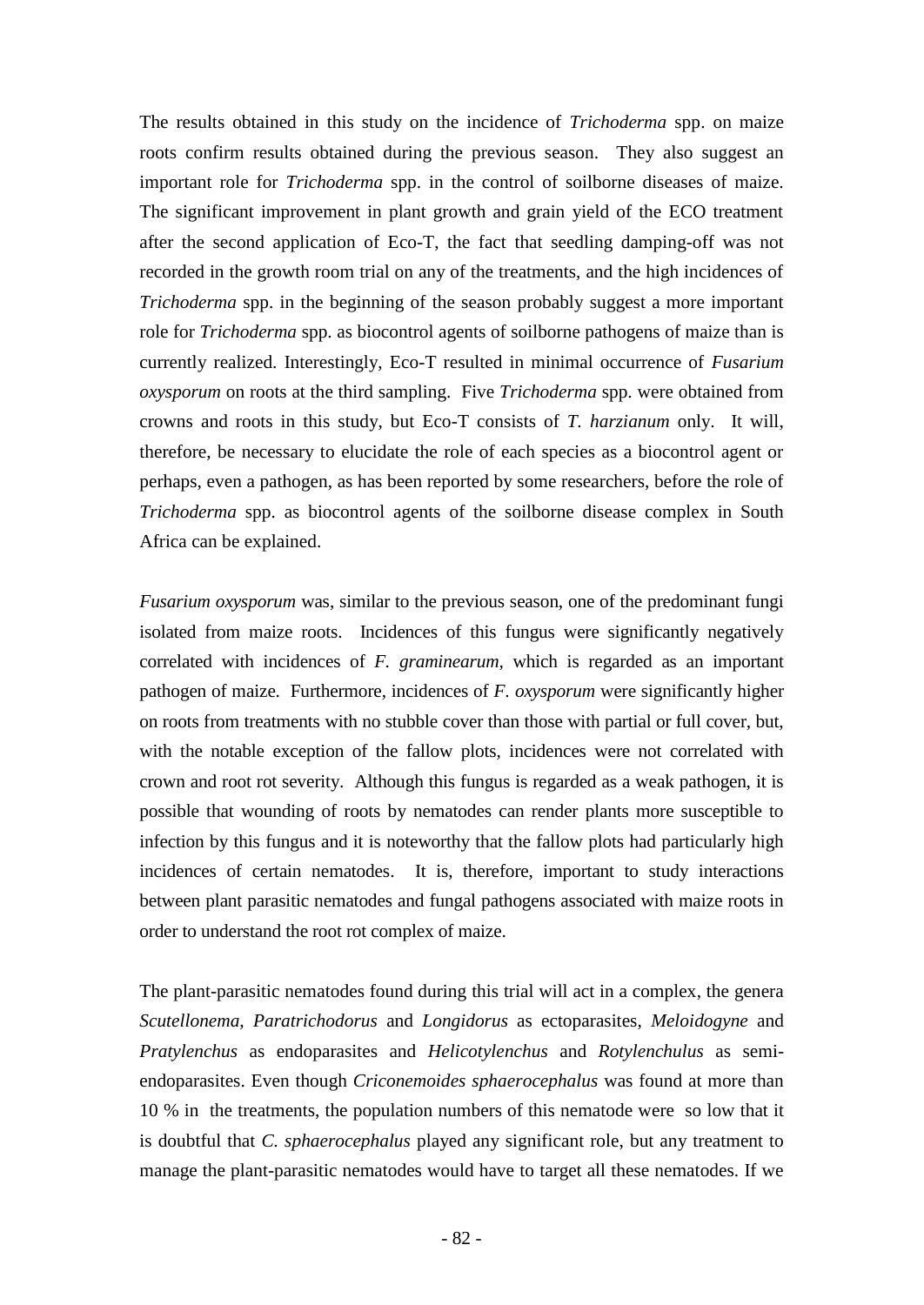The results obtained in this study on the incidence of *Trichoderma* spp. on maize roots confirm results obtained during the previous season. They also suggest an important role for *Trichoderma* spp. in the control of soilborne diseases of maize. The significant improvement in plant growth and grain yield of the ECO treatment after the second application of Eco-T, the fact that seedling damping-off was not recorded in the growth room trial on any of the treatments, and the high incidences of *Trichoderma* spp. in the beginning of the season probably suggest a more important role for *Trichoderma* spp. as biocontrol agents of soilborne pathogens of maize than is currently realized. Interestingly, Eco-T resulted in minimal occurrence of *Fusarium oxysporum* on roots at the third sampling. Five *Trichoderma* spp. were obtained from crowns and roots in this study, but Eco-T consists of *T. harzianum* only. It will, therefore, be necessary to elucidate the role of each species as a biocontrol agent or perhaps, even a pathogen, as has been reported by some researchers, before the role of *Trichoderma* spp. as biocontrol agents of the soilborne disease complex in South Africa can be explained.

*Fusarium oxysporum* was, similar to the previous season, one of the predominant fungi isolated from maize roots. Incidences of this fungus were significantly negatively correlated with incidences of *F. graminearum,* which is regarded as an important pathogen of maize. Furthermore, incidences of *F. oxysporum* were significantly higher on roots from treatments with no stubble cover than those with partial or full cover, but, with the notable exception of the fallow plots, incidences were not correlated with crown and root rot severity. Although this fungus is regarded as a weak pathogen, it is possible that wounding of roots by nematodes can render plants more susceptible to infection by this fungus and it is noteworthy that the fallow plots had particularly high incidences of certain nematodes. It is, therefore, important to study interactions between plant parasitic nematodes and fungal pathogens associated with maize roots in order to understand the root rot complex of maize.

The plant-parasitic nematodes found during this trial will act in a complex, the genera *Scutellonema, Paratrichodorus* and *Longidorus* as ectoparasites, *Meloidogyne* and *Pratylenchus* as endoparasites and *Helicotylenchus* and *Rotylenchulus* as semiendoparasites. Even though *Criconemoides sphaerocephalus* was found at more than 10 % in the treatments, the population numbers of this nematode were so low that it is doubtful that *C. sphaerocephalus* played any significant role, but any treatment to manage the plant-parasitic nematodes would have to target all these nematodes. If we